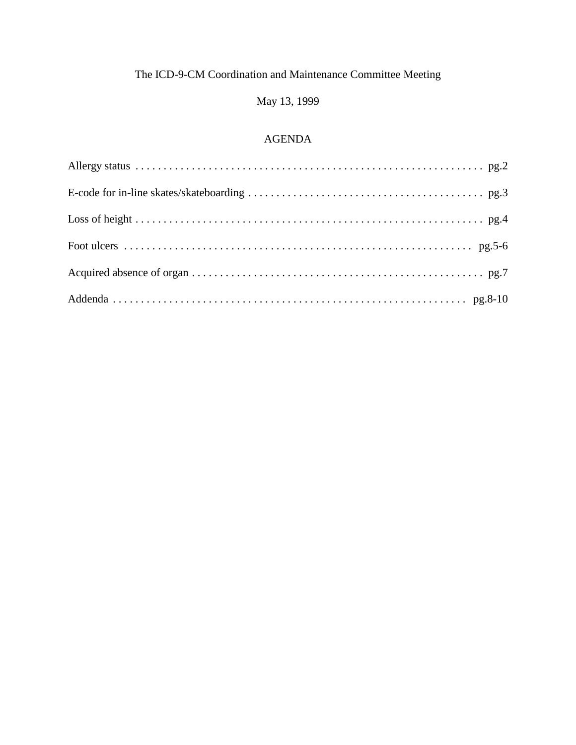# May 13, 1999

## AGENDA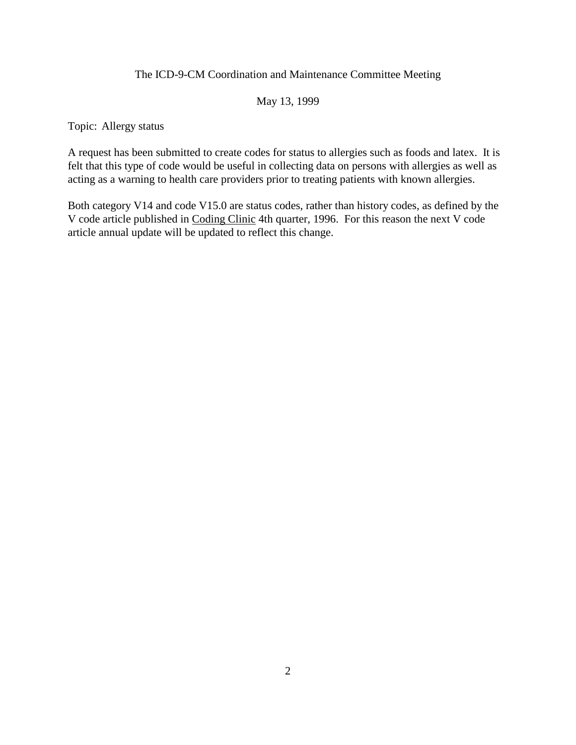### May 13, 1999

Topic: Allergy status

A request has been submitted to create codes for status to allergies such as foods and latex. It is felt that this type of code would be useful in collecting data on persons with allergies as well as acting as a warning to health care providers prior to treating patients with known allergies.

Both category V14 and code V15.0 are status codes, rather than history codes, as defined by the V code article published in Coding Clinic 4th quarter, 1996. For this reason the next V code article annual update will be updated to reflect this change.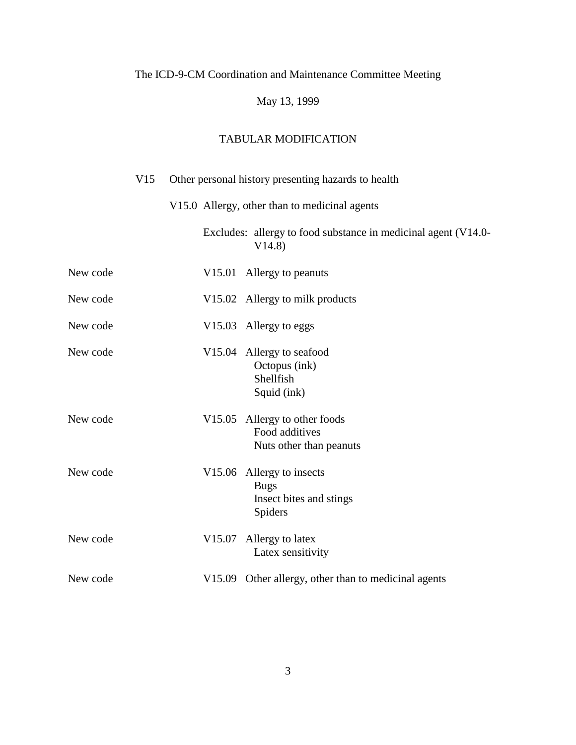# May 13, 1999

|          | V15 | Other personal history presenting hazards to health                            |
|----------|-----|--------------------------------------------------------------------------------|
|          |     | V15.0 Allergy, other than to medicinal agents                                  |
|          |     | Excludes: allergy to food substance in medicinal agent (V14.0-<br>V14.8)       |
| New code |     | V15.01 Allergy to peanuts                                                      |
| New code |     | V15.02 Allergy to milk products                                                |
| New code |     | V15.03 Allergy to eggs                                                         |
| New code |     | V15.04 Allergy to seafood<br>Octopus (ink)<br>Shellfish<br>Squid (ink)         |
| New code |     | V15.05 Allergy to other foods<br>Food additives<br>Nuts other than peanuts     |
| New code |     | V15.06 Allergy to insects<br><b>Bugs</b><br>Insect bites and stings<br>Spiders |
| New code |     | V15.07 Allergy to latex<br>Latex sensitivity                                   |
| New code |     | V15.09 Other allergy, other than to medicinal agents                           |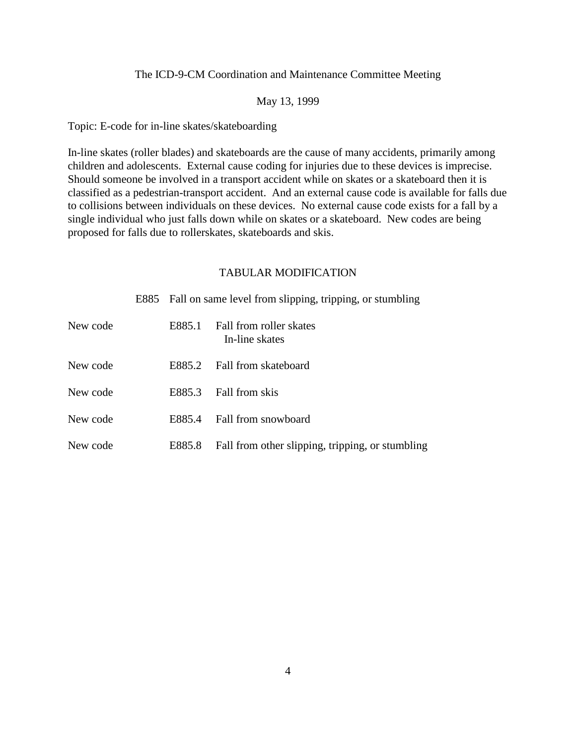#### May 13, 1999

Topic: E-code for in-line skates/skateboarding

In-line skates (roller blades) and skateboards are the cause of many accidents, primarily among children and adolescents. External cause coding for injuries due to these devices is imprecise. Should someone be involved in a transport accident while on skates or a skateboard then it is classified as a pedestrian-transport accident. And an external cause code is available for falls due to collisions between individuals on these devices. No external cause code exists for a fall by a single individual who just falls down while on skates or a skateboard. New codes are being proposed for falls due to rollerskates, skateboards and skis.

|          | E885 Fall on same level from slipping, tripping, or stumbling |                                                  |  |  |
|----------|---------------------------------------------------------------|--------------------------------------------------|--|--|
| New code | E885.1                                                        | Fall from roller skates<br>In-line skates        |  |  |
| New code | E885.2                                                        | Fall from skateboard                             |  |  |
| New code | E885.3                                                        | Fall from skis                                   |  |  |
| New code | E885.4                                                        | Fall from snowboard                              |  |  |
| New code | E885.8                                                        | Fall from other slipping, tripping, or stumbling |  |  |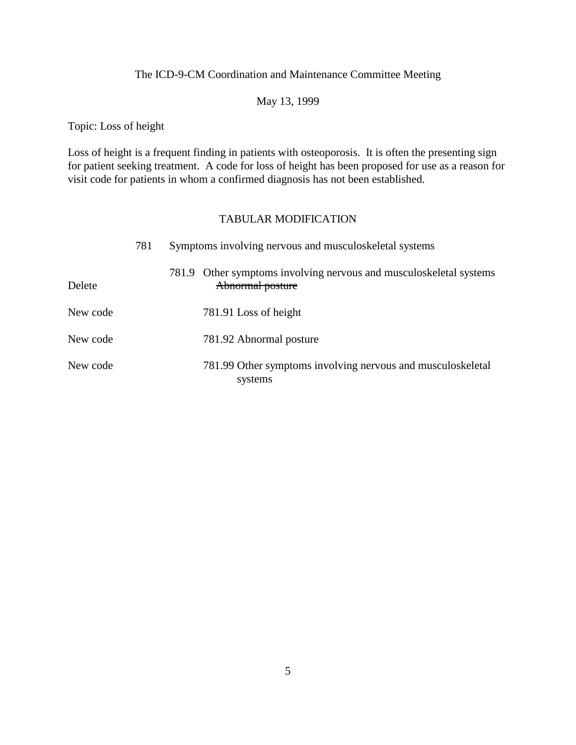## May 13, 1999

Topic: Loss of height

Loss of height is a frequent finding in patients with osteoporosis. It is often the presenting sign for patient seeking treatment. A code for loss of height has been proposed for use as a reason for visit code for patients in whom a confirmed diagnosis has not been established.

|          | 781 | Symptoms involving nervous and musculoskeletal systems |                                                                                        |  |  |
|----------|-----|--------------------------------------------------------|----------------------------------------------------------------------------------------|--|--|
| Delete   |     |                                                        | 781.9 Other symptoms involving nervous and musculoskeletal systems<br>Abnormal posture |  |  |
| New code |     |                                                        | 781.91 Loss of height                                                                  |  |  |
| New code |     |                                                        | 781.92 Abnormal posture                                                                |  |  |
| New code |     |                                                        | 781.99 Other symptoms involving nervous and musculoskeletal<br>systems                 |  |  |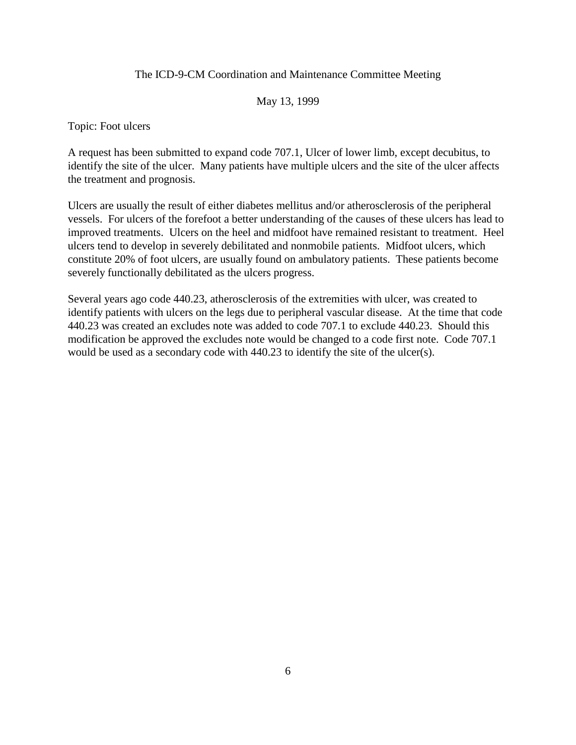### May 13, 1999

Topic: Foot ulcers

A request has been submitted to expand code 707.1, Ulcer of lower limb, except decubitus, to identify the site of the ulcer. Many patients have multiple ulcers and the site of the ulcer affects the treatment and prognosis.

Ulcers are usually the result of either diabetes mellitus and/or atherosclerosis of the peripheral vessels. For ulcers of the forefoot a better understanding of the causes of these ulcers has lead to improved treatments. Ulcers on the heel and midfoot have remained resistant to treatment. Heel ulcers tend to develop in severely debilitated and nonmobile patients. Midfoot ulcers, which constitute 20% of foot ulcers, are usually found on ambulatory patients. These patients become severely functionally debilitated as the ulcers progress.

Several years ago code 440.23, atherosclerosis of the extremities with ulcer, was created to identify patients with ulcers on the legs due to peripheral vascular disease. At the time that code 440.23 was created an excludes note was added to code 707.1 to exclude 440.23. Should this modification be approved the excludes note would be changed to a code first note. Code 707.1 would be used as a secondary code with 440.23 to identify the site of the ulcer(s).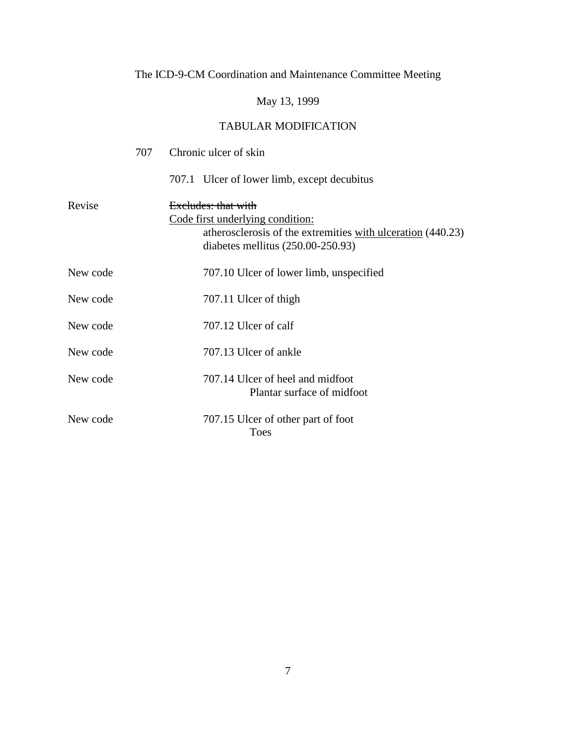# May 13, 1999

|          | 707 | Chronic ulcer of skin                                                                                                                                         |
|----------|-----|---------------------------------------------------------------------------------------------------------------------------------------------------------------|
|          |     | 707.1 Ulcer of lower limb, except decubitus                                                                                                                   |
| Revise   |     | Excludes: that with<br>Code first underlying condition:<br>atherosclerosis of the extremities with ulceration (440.23)<br>diabetes mellitus $(250.00-250.93)$ |
| New code |     | 707.10 Ulcer of lower limb, unspecified                                                                                                                       |
| New code |     | 707.11 Ulcer of thigh                                                                                                                                         |
| New code |     | 707.12 Ulcer of calf                                                                                                                                          |
| New code |     | 707.13 Ulcer of ankle                                                                                                                                         |
| New code |     | 707.14 Ulcer of heel and midfoot<br>Plantar surface of midfoot                                                                                                |
| New code |     | 707.15 Ulcer of other part of foot<br><b>Toes</b>                                                                                                             |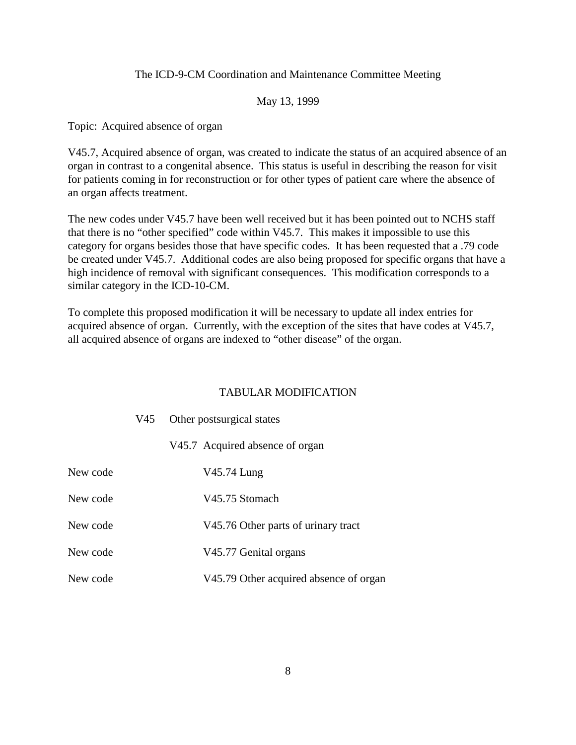### May 13, 1999

Topic: Acquired absence of organ

V45.7, Acquired absence of organ, was created to indicate the status of an acquired absence of an organ in contrast to a congenital absence. This status is useful in describing the reason for visit for patients coming in for reconstruction or for other types of patient care where the absence of an organ affects treatment.

The new codes under V45.7 have been well received but it has been pointed out to NCHS staff that there is no "other specified" code within V45.7. This makes it impossible to use this category for organs besides those that have specific codes. It has been requested that a .79 code be created under V45.7. Additional codes are also being proposed for specific organs that have a high incidence of removal with significant consequences. This modification corresponds to a similar category in the ICD-10-CM.

To complete this proposed modification it will be necessary to update all index entries for acquired absence of organ. Currently, with the exception of the sites that have codes at V45.7, all acquired absence of organs are indexed to "other disease" of the organ.

|          | V45 Other postsurgical states          |  |  |  |
|----------|----------------------------------------|--|--|--|
|          | V45.7 Acquired absence of organ        |  |  |  |
| New code | V45.74 Lung                            |  |  |  |
| New code | V45.75 Stomach                         |  |  |  |
| New code | V45.76 Other parts of urinary tract    |  |  |  |
| New code | V45.77 Genital organs                  |  |  |  |
| New code | V45.79 Other acquired absence of organ |  |  |  |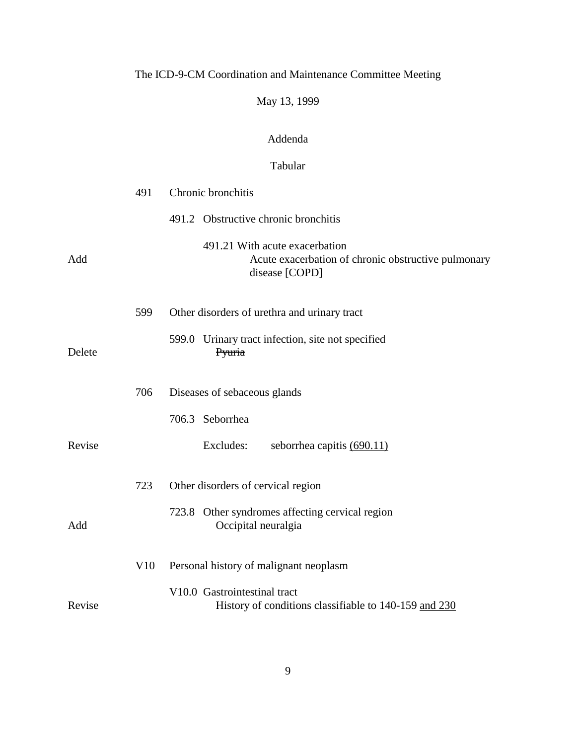# May 13, 1999

## Addenda

## Tabular

|        | 491 | Chronic bronchitis                                                                                      |
|--------|-----|---------------------------------------------------------------------------------------------------------|
|        |     | 491.2 Obstructive chronic bronchitis                                                                    |
| Add    |     | 491.21 With acute exacerbation<br>Acute exacerbation of chronic obstructive pulmonary<br>disease [COPD] |
|        | 599 | Other disorders of urethra and urinary tract                                                            |
| Delete |     | 599.0 Urinary tract infection, site not specified<br>Pyuria                                             |
|        | 706 | Diseases of sebaceous glands                                                                            |
|        |     | 706.3 Seborrhea                                                                                         |
| Revise |     | Excludes:<br>seborrhea capitis (690.11)                                                                 |
|        | 723 | Other disorders of cervical region                                                                      |
| Add    |     | 723.8 Other syndromes affecting cervical region<br>Occipital neuralgia                                  |
|        | V10 | Personal history of malignant neoplasm                                                                  |
| Revise |     | V10.0 Gastrointestinal tract<br>History of conditions classifiable to 140-159 and 230                   |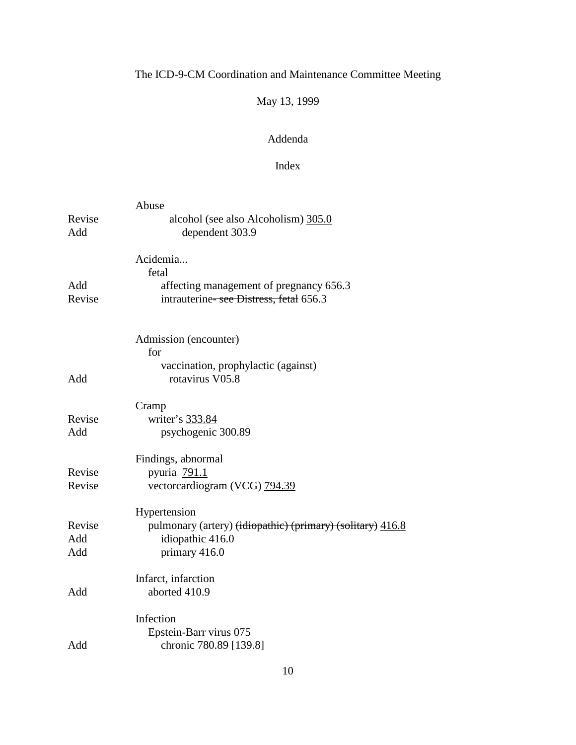# May 13, 1999

## Addenda

## Index

|        | Abuse                                                      |
|--------|------------------------------------------------------------|
| Revise | alcohol (see also Alcoholism) 305.0                        |
| Add    | dependent 303.9                                            |
|        | Acidemia                                                   |
|        | fetal                                                      |
| Add    | affecting management of pregnancy 656.3                    |
| Revise | intrauterine-see Distress, fetal 656.3                     |
|        | Admission (encounter)                                      |
|        | for                                                        |
|        | vaccination, prophylactic (against)                        |
| Add    | rotavirus V05.8                                            |
|        | Cramp                                                      |
| Revise | writer's 333.84                                            |
| Add    | psychogenic 300.89                                         |
|        | Findings, abnormal                                         |
| Revise | pyuria 791.1                                               |
| Revise | vectorcardiogram (VCG) 794.39                              |
|        | Hypertension                                               |
| Revise | pulmonary (artery) (idiopathic) (primary) (solitary) 416.8 |
| Add    | idiopathic 416.0                                           |
| Add    | primary 416.0                                              |
|        | Infarct, infarction                                        |
| Add    | aborted 410.9                                              |
|        | Infection                                                  |
|        | Epstein-Barr virus 075                                     |
| Add    | chronic 780.89 [139.8]                                     |